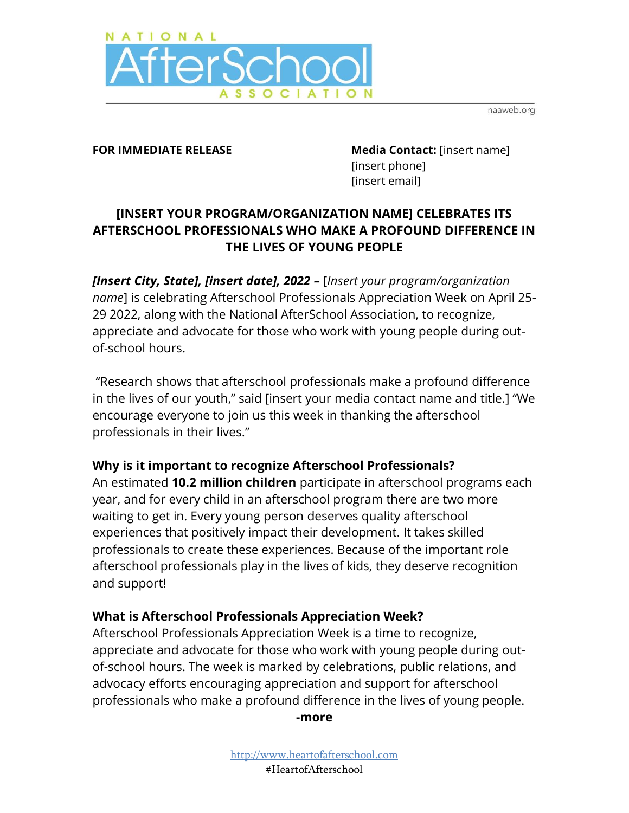

naaweb.org

**FOR IMMEDIATE RELEASE Media Contact:** [insert name] [insert phone] [insert email]

# **[INSERT YOUR PROGRAM/ORGANIZATION NAME] CELEBRATES ITS AFTERSCHOOL PROFESSIONALS WHO MAKE A PROFOUND DIFFERENCE IN THE LIVES OF YOUNG PEOPLE**

*[Insert City, State], [insert date], 2022 –* [*Insert your program/organization name*] is celebrating Afterschool Professionals Appreciation Week on April 25- 29 2022, along with the National AfterSchool Association, to recognize, appreciate and advocate for those who work with young people during outof-school hours.

"Research shows that afterschool professionals make a profound difference in the lives of our youth," said [insert your media contact name and title.] "We encourage everyone to join us this week in thanking the afterschool professionals in their lives."

### **Why is it important to recognize Afterschool Professionals?**

An estimated **10.2 million children** participate in afterschool programs each year, and for every child in an afterschool program there are two more waiting to get in. Every young person deserves quality afterschool experiences that positively impact their development. It takes skilled professionals to create these experiences. Because of the important role afterschool professionals play in the lives of kids, they deserve recognition and support!

### **What is Afterschool Professionals Appreciation Week?**

Afterschool Professionals Appreciation Week is a time to recognize, appreciate and advocate for those who work with young people during outof-school hours. The week is marked by celebrations, public relations, and advocacy efforts encouraging appreciation and support for afterschool professionals who make a profound difference in the lives of young people.

**-more**